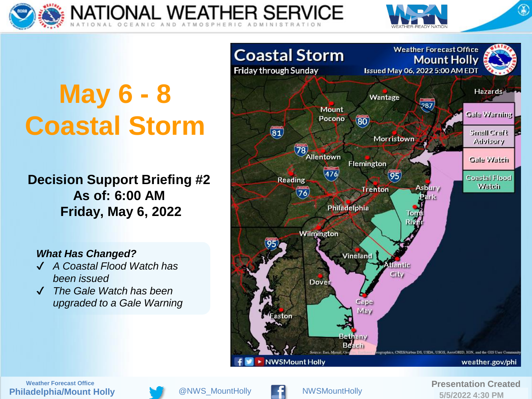



# **May 6 - 8 Coastal Storm**

**Decision Support Briefing #2 As of: 6:00 AM Friday, May 6, 2022**

#### *What Has Changed?*

- ✔ *A Coastal Flood Watch has been issued*
- ✔ *The Gale Watch has been upgraded to a Gale Warning*



**Philadelphia/Mount Holly Weather Forecast Office and Created Created Created Created Created Created Created Created Created Created Created Created <b>adelphia/Mount Holly Created adelphia/Mount Holly Created adelphia/Mount Holly Created** 



 $@NWS$  MountHolly



**5/5/2022 4:30 PM**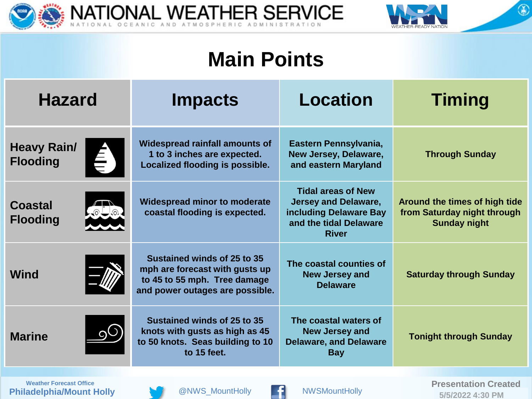



### **Main Points**

| <b>Hazard</b>                                               | <b>Impacts</b>                                                                                                                   | <b>Location</b>                                                                                                              | <b>Timing</b>                                                                       |
|-------------------------------------------------------------|----------------------------------------------------------------------------------------------------------------------------------|------------------------------------------------------------------------------------------------------------------------------|-------------------------------------------------------------------------------------|
| <b>Heavy Rain/</b><br>$\hat{\mathbf{a}}$<br><b>Flooding</b> | <b>Widespread rainfall amounts of</b><br>1 to 3 inches are expected.<br>Localized flooding is possible.                          | Eastern Pennsylvania,<br>New Jersey, Delaware,<br>and eastern Maryland                                                       | <b>Through Sunday</b>                                                               |
| <b>Coastal</b><br><b>Flooding</b>                           | <b>Widespread minor to moderate</b><br>coastal flooding is expected.                                                             | <b>Tidal areas of New</b><br><b>Jersey and Delaware,</b><br>including Delaware Bay<br>and the tidal Delaware<br><b>River</b> | Around the times of high tide<br>from Saturday night through<br><b>Sunday night</b> |
| <b>Wind</b>                                                 | Sustained winds of 25 to 35<br>mph are forecast with gusts up<br>to 45 to 55 mph. Tree damage<br>and power outages are possible. | The coastal counties of<br><b>New Jersey and</b><br><b>Delaware</b>                                                          | <b>Saturday through Sunday</b>                                                      |
| 90<br><b>Marine</b>                                         | Sustained winds of 25 to 35<br>knots with gusts as high as 45<br>to 50 knots. Seas building to 10<br>to 15 feet.                 | The coastal waters of<br><b>New Jersey and</b><br><b>Delaware, and Delaware</b><br><b>Bay</b>                                | <b>Tonight through Sunday</b>                                                       |
| Drogantation Crooted<br><b>Monthor Forgonat Office</b>      |                                                                                                                                  |                                                                                                                              |                                                                                     |

**Philadelphia/Mount Holly**



 $@NWS_M$ ountHolly



**WESMOUNTHOLLY CONSUMER FOR A PRESENTATION CREATED**<br>**ELECTRICIAL ELECTRICIAL CONSUMING STRIP OF A PRIME 5/5/2022 4:30 PM**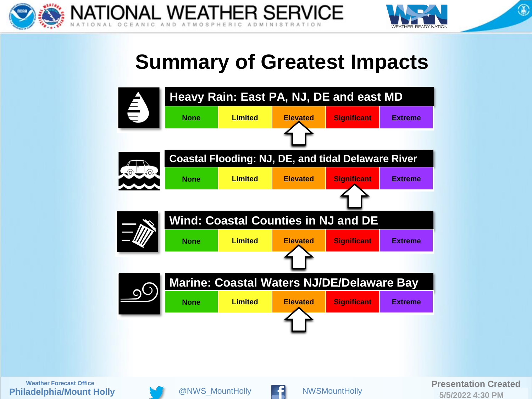



 $\circledast$ 

### **Summary of Greatest Impacts**



**5/5/2022 4:30 PM**

**Philadelphia/Mount Holly**



 $@NWS$  MountHolly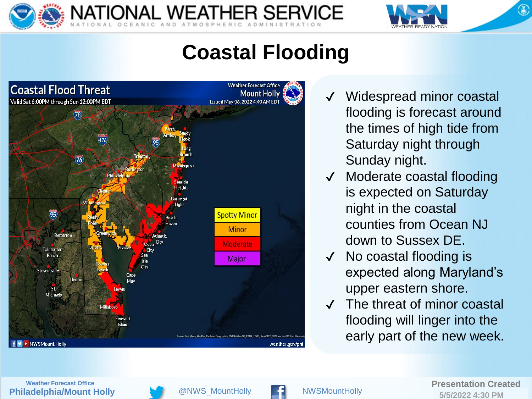



 $\circledast$ 

### **Coastal Flooding**

**ONAL WEATHER SERVICE** 



- Widespread minor coastal flooding is forecast around the times of high tide from Saturday night through Sunday night.
- Moderate coastal flooding is expected on Saturday night in the coastal counties from Ocean NJ down to Sussex DE.
- No coastal flooding is expected along Maryland's upper eastern shore.
- ✔ The threat of minor coastal flooding will linger into the early part of the new week.



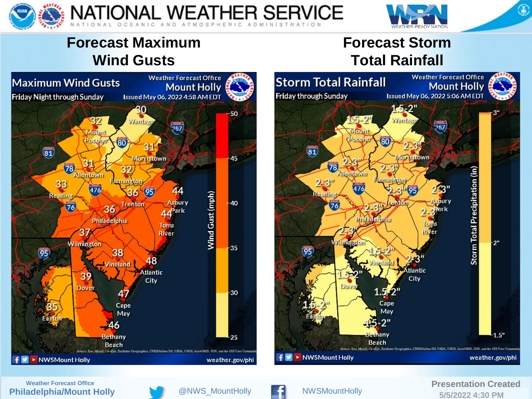



### **Forecast Maximum Wind Gusts**







**Philadelphia/Mount Holly**



 $@NWS$  MountHolly

NATIONAL WEATHER SERVICE

C AND ATMOSPHERIC ADMINISTRATION



#### **Weather Forecast Office and Created Created Created Created Created Created Created Created Created Created Created adelphia/Mount Holly <b>Created adelphia/Mount Holly Created adelphia/Mount Holly Created Created 5/5/2022 4:30 PM**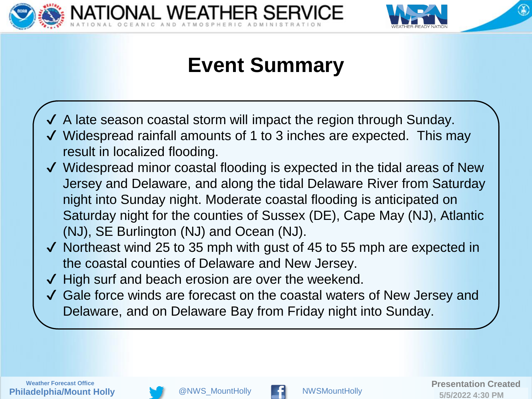



## **Event Summary**

 $\checkmark$  A late season coastal storm will impact the region through Sunday.

ONAL WEATHER SERVICE

- ✔ Widespread rainfall amounts of 1 to 3 inches are expected. This may result in localized flooding.
- ✔ Widespread minor coastal flooding is expected in the tidal areas of New Jersey and Delaware, and along the tidal Delaware River from Saturday night into Sunday night. Moderate coastal flooding is anticipated on Saturday night for the counties of Sussex (DE), Cape May (NJ), Atlantic (NJ), SE Burlington (NJ) and Ocean (NJ).
- ✔ Northeast wind 25 to 35 mph with gust of 45 to 55 mph are expected in the coastal counties of Delaware and New Jersey.
- ✔ High surf and beach erosion are over the weekend.
- ✔ Gale force winds are forecast on the coastal waters of New Jersey and Delaware, and on Delaware Bay from Friday night into Sunday.